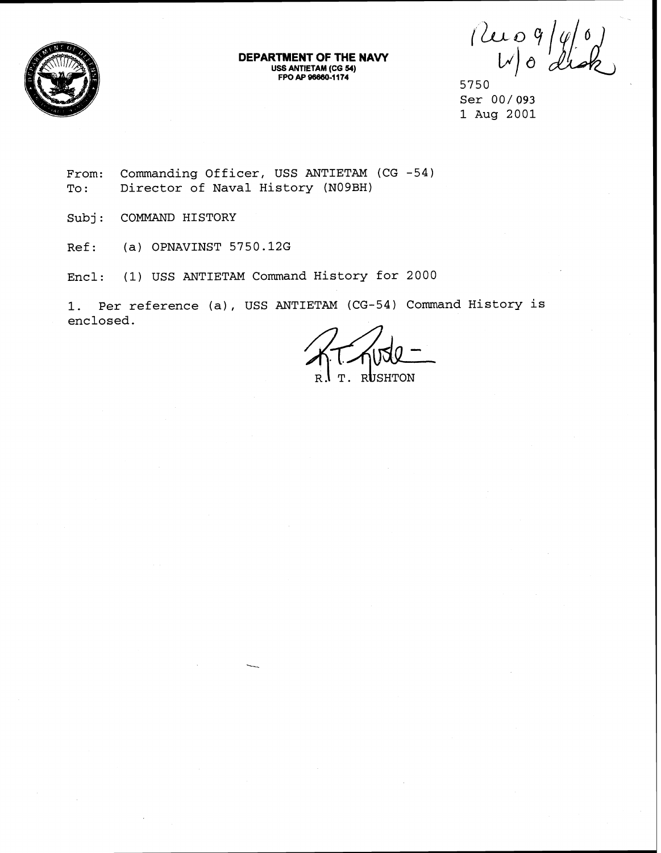

**DEPARTMENT OF THE NAW USS ANTIETAM (CG 54) FPOAP968001174** 

 $\begin{array}{c} \left(\begin{matrix} 2 & 0 \\ 0 & \end{matrix}\right) \left(\begin{matrix} 0 & 0 \\ 0 & \end{matrix}\right) \left(\begin{matrix} 0 & 0 \\ 0 & \end{matrix}\right) \left(\begin{matrix} 0 & 0 \\ 0 & \end{matrix}\right) \left(\begin{matrix} 0 & 0 \\ 0 & \end{matrix}\right) \left(\begin{matrix} 0 & 0 \\ 0 & \end{matrix}\right) \left(\begin{matrix} 0 & 0 \\ 0 & \end{matrix}\right) \left(\begin{matrix} 0 & 0 \\ 0 & \end{matrix}\right) \left(\begin{matrix} 0 & 0 \\ 0 & \end{matrix}\right) \left(\begin{matrix$ 

**5750 Ser** 00/093 **1 Aug 2001** 

From: Commanding Officer, USS ANTIETAM (CG -54) **To** : **Director of Naval History (N09BH)** 

**Subj: COMMAND HISTORY** 

**Ref: (a) OPNAVINST 5750.12G** 

**Encl: (1) USS ANTIETAM Command History for 2000** 

**1. Per reference (a), USS ANTIETAM (CG-54) Command History is enclosed.** 

 $T$ . RUSHTON  $R<sub>1</sub>$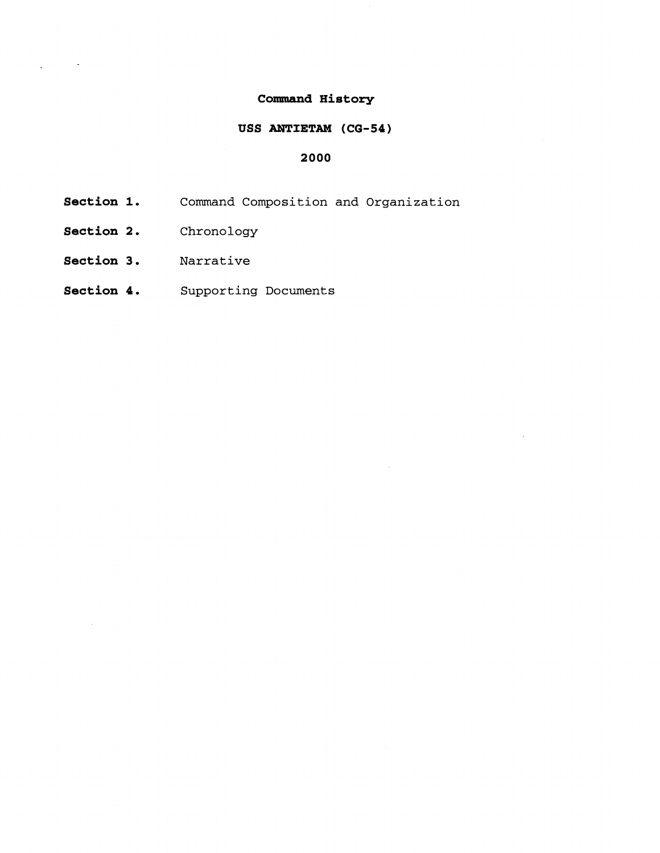# **Command History**

# **USS ANTIETAM (CG-54)**

## **2000**

- **Section 1.** Command Composition and Organization
- **Section 2.** Chronology

 $\sim$ 

- **Section 3.** Narrative
- **Section 4.** Supporting Documents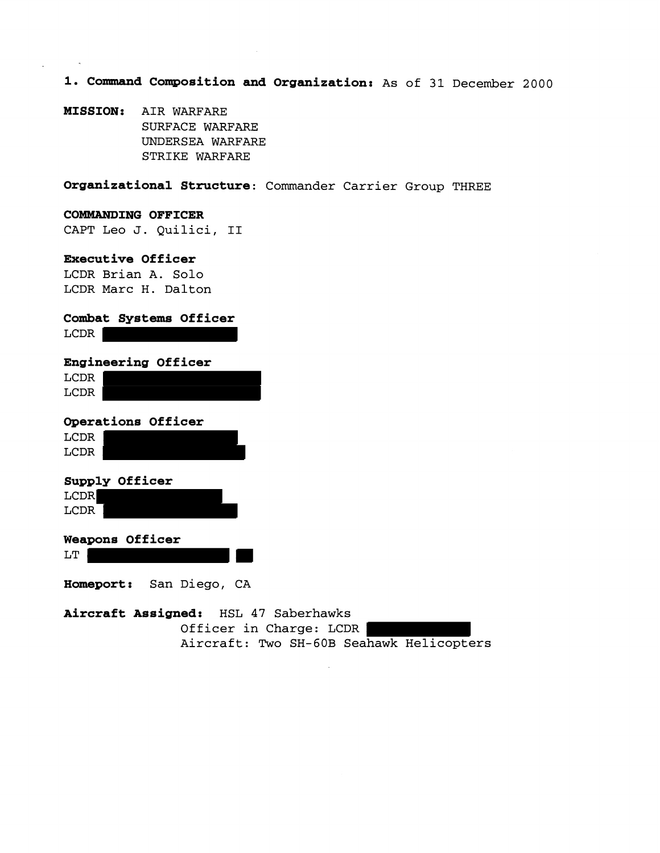**1. Command Cmosition and Organization:** As of **31** December 2000

**MISSION:** AIR WARFARE SURFACE WARFARE UNDERSEA WARFARE STRIKE WARFARE

**Organizational Structure:** Commander Carrier Group THREE

#### **COMMANDING OFFICER**

CAPT Leo J. Quilici, I1

## **Executive Officer**

LCDR Brian **A.** Solo LCDR Marc H. Dalton

| Combat Systems Officer<br>LCDR                                  |
|-----------------------------------------------------------------|
| <b>Engineering Officer</b><br>LCDR<br>LCDR                      |
| Operations Officer<br>LCDR<br>LCDR                              |
| Supply Officer<br><b>LCDR</b><br>LCDR                           |
| <b>Weapons Officer</b><br>LT                                    |
| Homeport: San Diego, CA                                         |
| Aircraft Assigned: HSL 47 Saberhawks<br>Officer in Charge: LCDR |

Aircraft: Two SH-GOB Seahawk Helicopters

 $\bar{a}$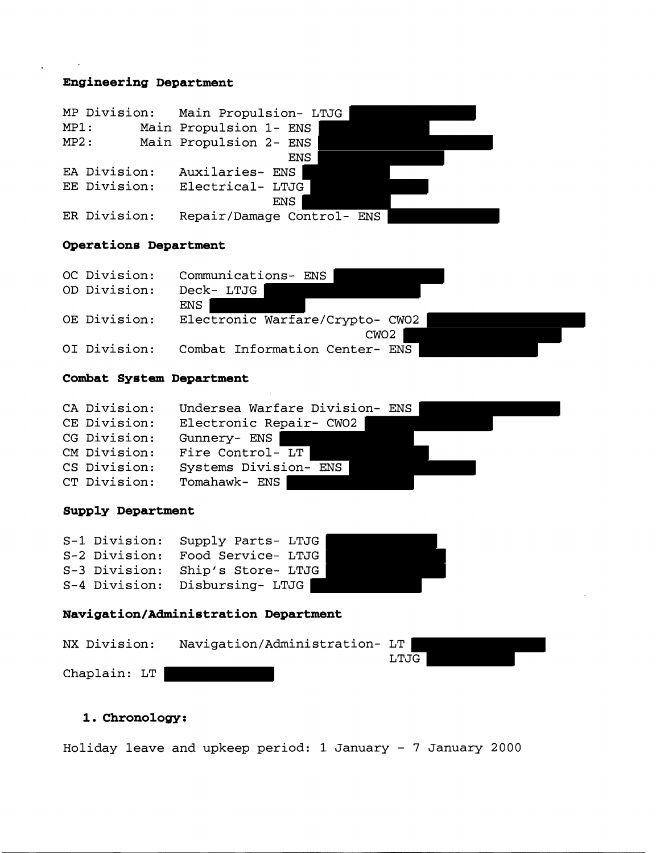# **Engineering Department**

| MP Division: |  | Main Propulsion- LTJG      |
|--------------|--|----------------------------|
| MP1:         |  | Main Propulsion 1- ENS     |
| MP2:         |  | Main Propulsion 2- ENS     |
|              |  | ENS                        |
| EA Division: |  | Auxilaries- ENS            |
| EE Division: |  | Electrical- LTJG           |
|              |  | ENS                        |
| ER Division: |  | Repair/Damage Control- ENS |

# **Operations Department**

| OC Division: | Communications- ENS             |
|--------------|---------------------------------|
| OD Division: | Deck- LTJG                      |
|              | ENS                             |
| OE Division: | Electronic Warfare/Crypto- CW02 |
|              | CWO2                            |
| OI Division: | Combat Information Center- ENS  |

#### **Combat System Department**

| CA Division: | Undersea Warfare Division- ENS |
|--------------|--------------------------------|
| CE Division: | Electronic Repair- CW02        |
| CG Division: | Gunnery- ENS                   |
| CM Division: | Fire Control- LT               |
| CS Division: | Systems Division- ENS          |
| CT Division: | Tomahawk- ENS                  |

# **Supply Department**

| S-1 Division: | Supply Parts- LTJG |  |
|---------------|--------------------|--|
| S-2 Division: | Food Service- LTJG |  |
| S-3 Division: | Ship's Store- LTJG |  |
| S-4 Division: | Disbursing- LTJG   |  |

# **Navigatian/Administration Department**

| NX Division: |  | Navigation/Administration- LT |      |  |
|--------------|--|-------------------------------|------|--|
|              |  |                               | LTJG |  |
| Chaplain: LT |  |                               |      |  |

# **1. Chronology:**

Holiday leave and upkeep period: 1 January - 7 January 2000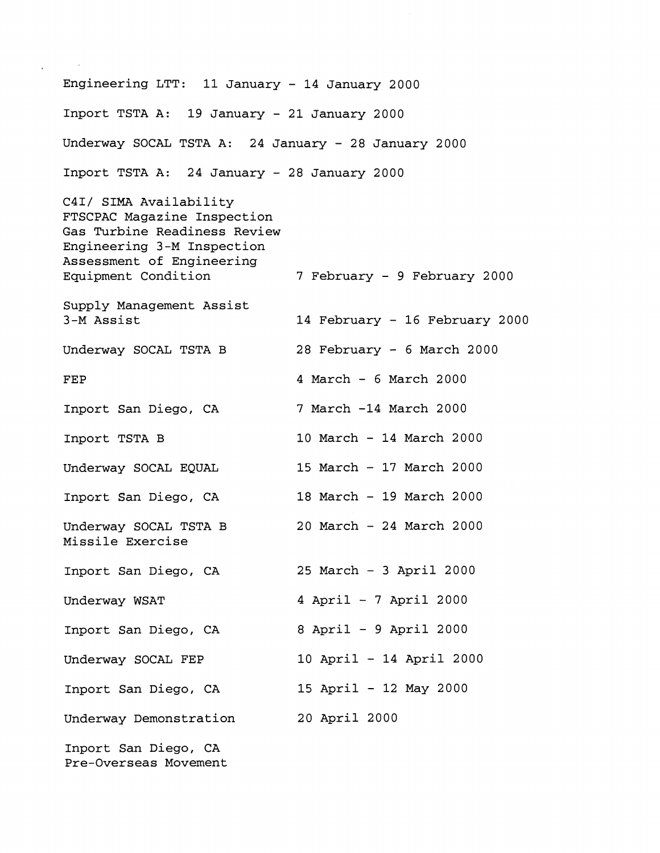Engineering LTT: 11 January - 14 January 2000 Inport TSTA A: 19 January - 21 January 2000 Underway SOCAL TSTA A: 24 January - 28 January 2000 Inport TSTA A: 24 January - 28 January 2000 C4I/ SIMA Availability FTSCPAC Magazine Inspection Gas Turbine Readiness Review Engineering 3-M Inspection Assessment of Engineering Equipment Condition 7 February - 9 February 2000 Supply Management Assist 3-M Assist 14 February - 16 February 2000 Underway SOCAL TSTA B 28 February - 6 March 2000 FEP 4 March - 6 March 2000 Inport San Diego, CA 7 March -14 March 2000 Inport TSTA B 10 March - 14 March 2000 Underway SOCAL EQUAL 15 March - 17 March 2000 Inport San Diego, CA 18 March - 19 March 2000 Underway SOCAL TSTA B 20 March - 24 March 2000 Missile Exercise Inport San Diego, CA 25 March - 3 April 2000 Underway WSAT 4 April - 7 April 2000 Inport San Diego, CA 8 April - 9 April 2000 Underway SOCAL FEP 10 April - 14 April 2000 Inport San Diego, CA 15 April - 12 May 2000 Underway Demonstration 20 April 2000 Inport San Diego, CA Pre-Overseas Movement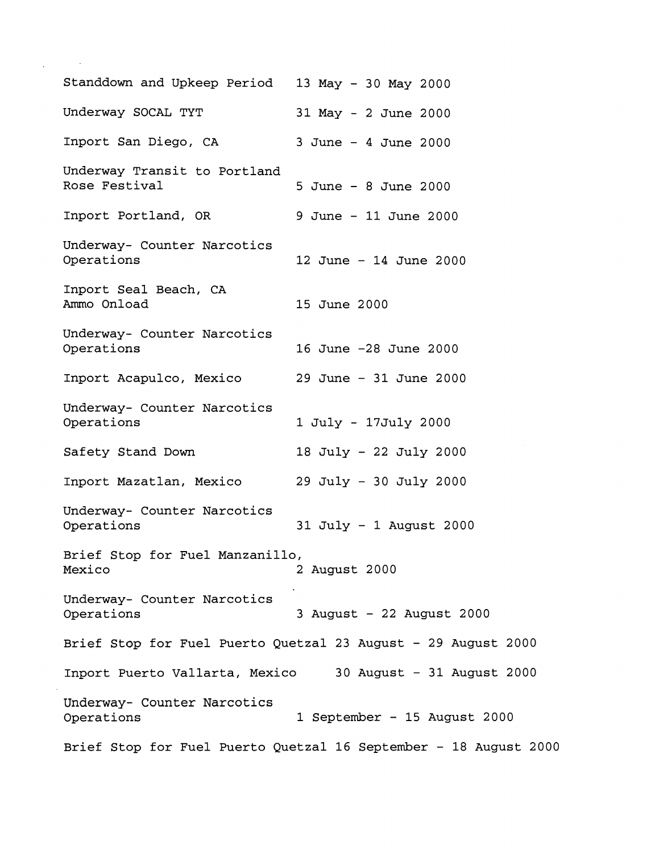| Standdown and Upkeep Period 13 May - 30 May 2000 |                                                               |
|--------------------------------------------------|---------------------------------------------------------------|
| Underway SOCAL TYT                               | 31 May - 2 June 2000                                          |
| Inport San Diego, CA                             | $3$ June - $4$ June 2000                                      |
| Underway Transit to Portland<br>Rose Festival    | 5 June - 8 June 2000                                          |
| Inport Portland, OR                              | 9 June - 11 June 2000                                         |
| Underway- Counter Narcotics<br>Operations        | 12 June - 14 June 2000                                        |
| Inport Seal Beach, CA<br>Ammo Onload             | 15 June 2000                                                  |
| Underway- Counter Narcotics<br>Operations        | 16 June -28 June 2000                                         |
| Inport Acapulco, Mexico                          | 29 June - 31 June 2000                                        |
| Underway- Counter Narcotics<br>Operations        | 1 July - 17July 2000                                          |
| Safety Stand Down                                | 18 July - 22 July 2000                                        |
| Inport Mazatlan, Mexico                          | $29$ July - 30 July 2000                                      |
| Underway- Counter Narcotics<br>Operations        | $31$ July - 1 August 2000                                     |
| Brief Stop for Fuel Manzanillo,<br>Mexico        | 2 August 2000                                                 |
| Underway- Counter Narcotics<br>Operations        | 3 August - 22 August 2000                                     |
|                                                  | Brief Stop for Fuel Puerto Quetzal 23 August - 29 August 2000 |
|                                                  | Inport Puerto Vallarta, Mexico 30 August - 31 August 2000     |
|                                                  |                                                               |
| Underway- Counter Narcotics<br>Operations        | 1 September - 15 August 2000                                  |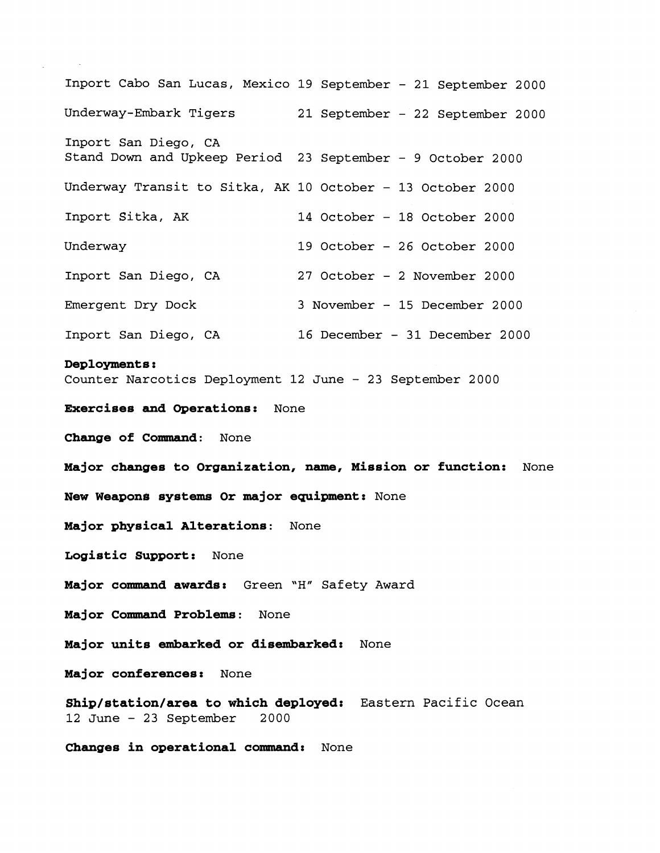Inport Cabo San Lucas, Mexico 19 September - 21 September 2000 Underway-Embark Tigers 21 September - 22 September 2000 Inport San Diego, CA Stand Down and Upkeep Period 23 September - 9 October 2000 Underway Transit to Sitka, AK 10 October - 13 October 2000 Inport Sitka, AK 14 October - 18 October 2000 Underway 19 October - 26 October 2000 Inport San Diego, CA 27 October - 2 November 2000 Emergent Dry Dock 3 November - 15 December 2000 Inport San Diego, CA 16 December - 31 December 2000 **Deployments** : Counter Narcotics Deployment 12 June - 23 September 2000 **Exercises and Operations:** None **Change of Cormnand:** None **Major changes to Organization, name, Mission or function:** None **New Weapons systems Or major equipment:** None **Major physical Alterations:** None **Logistic Support:** None **Major command awards:** Green **"H"** Safety Award **Major Command Problems:** None **Major units embarked or disembarked:** None **Major conferences:** None **Shig/station/area to which deployed:** Eastern Pacific Ocean 12 June - 23 September 2000

**Changes in operational command:** None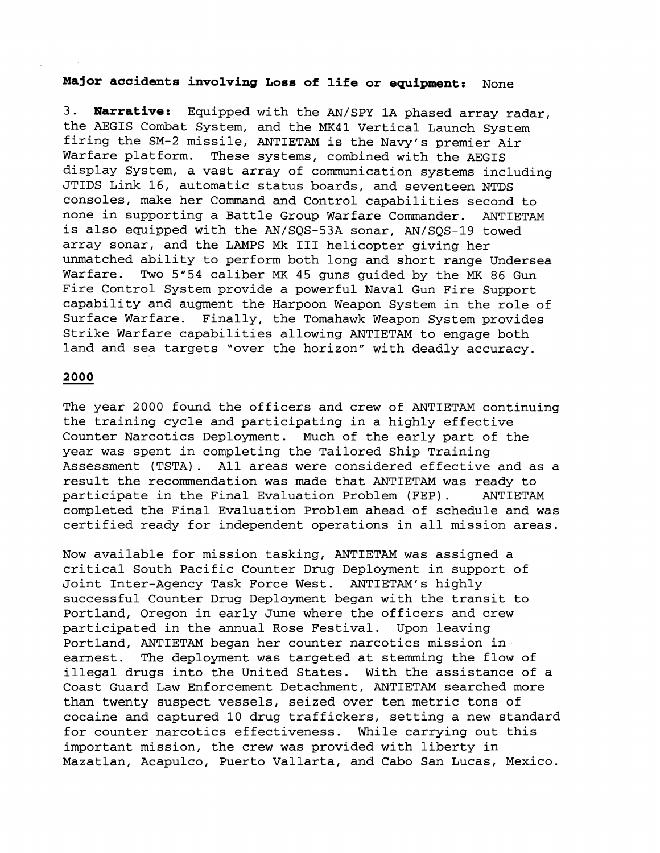# **Major accidents involving Loss of life or equipment:** None

3. **Narrative:** Equipped with the AN/SPY 1A phased array radar, the AEGIS Combat System, and the MK41 Vertical Launch System firing the SM-2 missile, ANTIETAM is the Navy's premier Air Warfare platform. These systems, combined with the AEGIS display System, a vast array of communication systems including JTIDS Link 16, automatic status boards, and seventeen NTDS consoles, make her Command and Control capabilities second to none in supporting a Battle Group Warfare Commander. ANTIETAM is also equipped with the AN/SQS-53A sonar, AN/SQS-19 towed array sonar, and the LAMPS Mk I11 helicopter giving her unmatched ability to perform both long and short range Undersea Warfare. Two 5"54 caliber MK 45 guns guided by the MK 86 Gun Fire Control System provide a powerful Naval Gun Fire Support capability and augment the Harpoon Weapon System in the role of Surface Warfare. Finally, the Tomahawk Weapon System provides Strike Warfare capabilities allowing ANTIETAM to engage both land and sea targets "over the horizon" with deadly accuracy.

#### 2000

The year 2000 found the officers and crew of ANTIETAM continuing the training cycle and participating in a highly effective Counter Narcotics Deployment. Much of the early part of the year was spent in completing the Tailored Ship Training Assessment (TSTA). All areas were considered effective and as a result the recommendation was made that ANTIETAM was ready to participate in the Final Evaluation Problem (FEP). ANTIETAM completed the Final Evaluation Problem ahead of schedule and was certified ready for independent operations in all mission areas.

Now available for mission tasking, ANTIETAM was assigned a critical South Pacific Counter Drug Deployment in support of Joint Inter-Agency Task Force West. ANTIETAM's highly successful Counter Drug Deployment began with the transit to Portland, Oregon in early June where the officers and crew participated in the annual Rose Festival. Upon leaving Portland, ANTIETAM began her counter narcotics mission in earnest. The deployment was targeted at stemming the flow of illegal drugs into the United States. With the assistance of a Coast Guard Law Enforcement Detachment, ANTIETAM searched more than twenty suspect vessels, seized over ten metric tons of cocaine and captured 10 drug traffickers, setting a new standard for counter narcotics effectiveness. While carrying out this important mission, the crew was provided with liberty in Mazatlan, Acapulco, Puerto Vallarta, and Cabo San Lucas, Mexico.